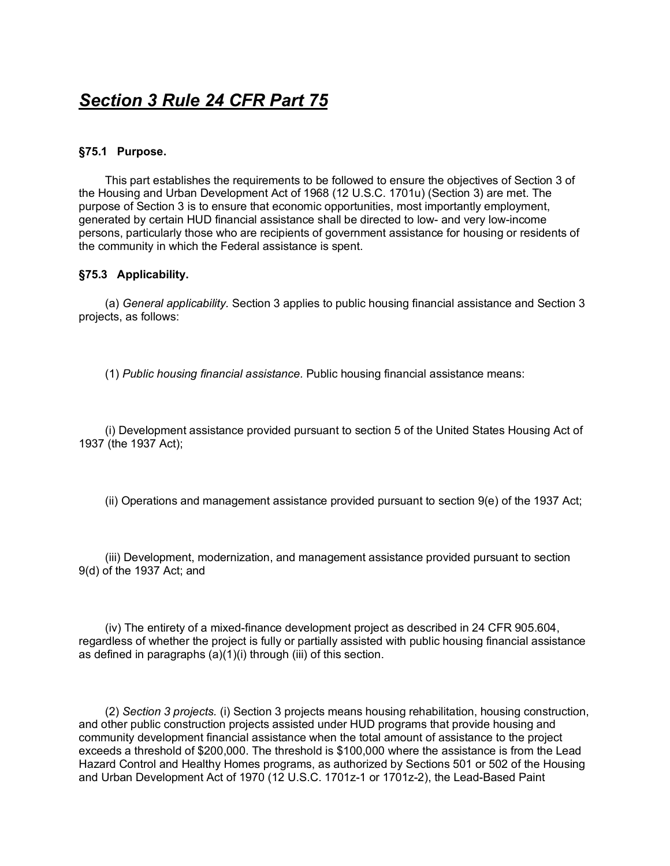# *Section 3 Rule 24 CFR Part 75*

#### **§75.1 Purpose.**

This part establishes the requirements to be followed to ensure the objectives of Section 3 of the Housing and Urban Development Act of 1968 (12 U.S.C. 1701u) (Section 3) are met. The purpose of Section 3 is to ensure that economic opportunities, most importantly employment, generated by certain HUD financial assistance shall be directed to low- and very low-income persons, particularly those who are recipients of government assistance for housing or residents of the community in which the Federal assistance is spent.

### **§75.3 Applicability.**

(a) *General applicability.* Section 3 applies to public housing financial assistance and Section 3 projects, as follows:

(1) *Public housing financial assistance.* Public housing financial assistance means:

(i) Development assistance provided pursuant to section 5 of the United States Housing Act of 1937 (the 1937 Act);

(ii) Operations and management assistance provided pursuant to section 9(e) of the 1937 Act;

(iii) Development, modernization, and management assistance provided pursuant to section 9(d) of the 1937 Act; and

(iv) The entirety of a mixed-finance development project as described in 24 CFR 905.604, regardless of whether the project is fully or partially assisted with public housing financial assistance as defined in paragraphs (a)(1)(i) through (iii) of this section.

(2) *Section 3 projects.* (i) Section 3 projects means housing rehabilitation, housing construction, and other public construction projects assisted under HUD programs that provide housing and community development financial assistance when the total amount of assistance to the project exceeds a threshold of \$200,000. The threshold is \$100,000 where the assistance is from the Lead Hazard Control and Healthy Homes programs, as authorized by Sections 501 or 502 of the Housing and Urban Development Act of 1970 (12 U.S.C. 1701z-1 or 1701z-2), the Lead-Based Paint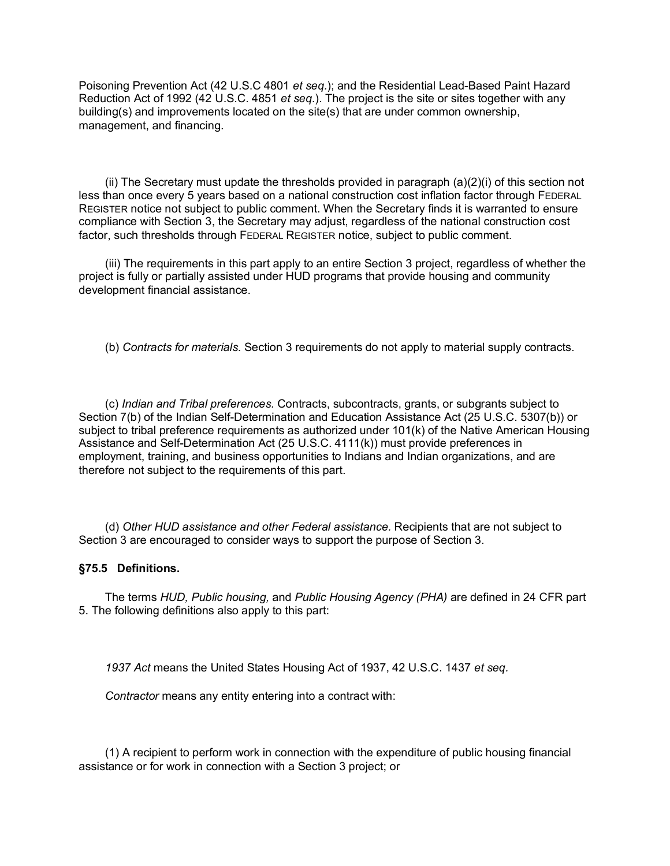Poisoning Prevention Act (42 U.S.C 4801 *et seq.*); and the Residential Lead-Based Paint Hazard Reduction Act of 1992 (42 U.S.C. 4851 *et seq.*). The project is the site or sites together with any building(s) and improvements located on the site(s) that are under common ownership, management, and financing.

(ii) The Secretary must update the thresholds provided in paragraph (a)(2)(i) of this section not less than once every 5 years based on a national construction cost inflation factor through FEDERAL REGISTER notice not subject to public comment. When the Secretary finds it is warranted to ensure compliance with Section 3, the Secretary may adjust, regardless of the national construction cost factor, such thresholds through FEDERAL REGISTER notice, subject to public comment.

(iii) The requirements in this part apply to an entire Section 3 project, regardless of whether the project is fully or partially assisted under HUD programs that provide housing and community development financial assistance.

(b) *Contracts for materials.* Section 3 requirements do not apply to material supply contracts.

(c) *Indian and Tribal preferences.* Contracts, subcontracts, grants, or subgrants subject to Section 7(b) of the Indian Self-Determination and Education Assistance Act (25 U.S.C. 5307(b)) or subject to tribal preference requirements as authorized under 101(k) of the Native American Housing Assistance and Self-Determination Act (25 U.S.C. 4111(k)) must provide preferences in employment, training, and business opportunities to Indians and Indian organizations, and are therefore not subject to the requirements of this part.

(d) *Other HUD assistance and other Federal assistance.* Recipients that are not subject to Section 3 are encouraged to consider ways to support the purpose of Section 3.

#### **§75.5 Definitions.**

The terms *HUD, Public housing,* and *Public Housing Agency (PHA)* are defined in 24 CFR part 5. The following definitions also apply to this part:

*1937 Act* means the United States Housing Act of 1937, 42 U.S.C. 1437 *et seq.*

*Contractor* means any entity entering into a contract with:

(1) A recipient to perform work in connection with the expenditure of public housing financial assistance or for work in connection with a Section 3 project; or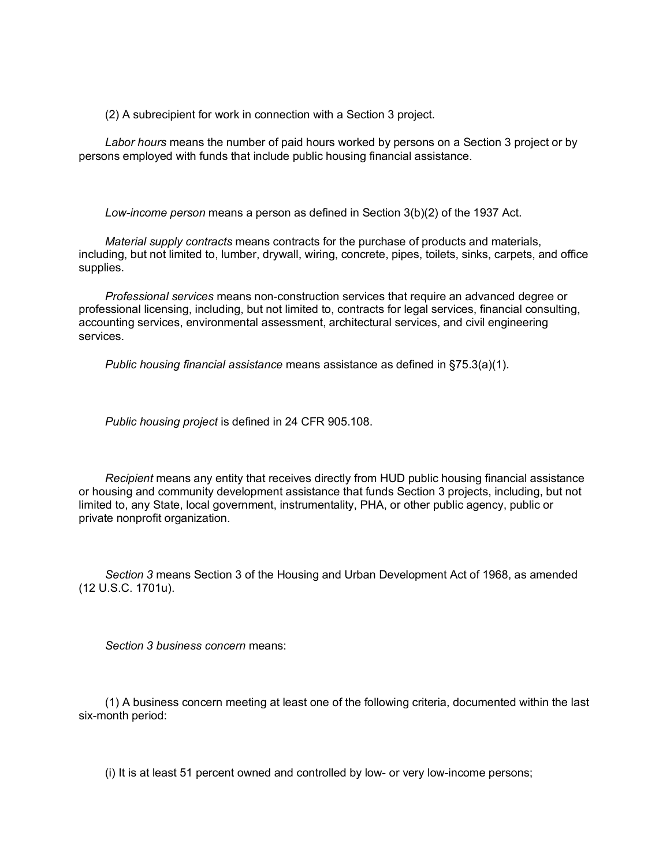(2) A subrecipient for work in connection with a Section 3 project.

*Labor hours* means the number of paid hours worked by persons on a Section 3 project or by persons employed with funds that include public housing financial assistance.

*Low-income person* means a person as defined in Section 3(b)(2) of the 1937 Act.

*Material supply contracts* means contracts for the purchase of products and materials, including, but not limited to, lumber, drywall, wiring, concrete, pipes, toilets, sinks, carpets, and office supplies.

*Professional services* means non-construction services that require an advanced degree or professional licensing, including, but not limited to, contracts for legal services, financial consulting, accounting services, environmental assessment, architectural services, and civil engineering services.

*Public housing financial assistance* means assistance as defined in §75.3(a)(1).

*Public housing project* is defined in 24 CFR 905.108.

*Recipient* means any entity that receives directly from HUD public housing financial assistance or housing and community development assistance that funds Section 3 projects, including, but not limited to, any State, local government, instrumentality, PHA, or other public agency, public or private nonprofit organization.

*Section 3* means Section 3 of the Housing and Urban Development Act of 1968, as amended (12 U.S.C. 1701u).

*Section 3 business concern* means:

(1) A business concern meeting at least one of the following criteria, documented within the last six-month period:

(i) It is at least 51 percent owned and controlled by low- or very low-income persons;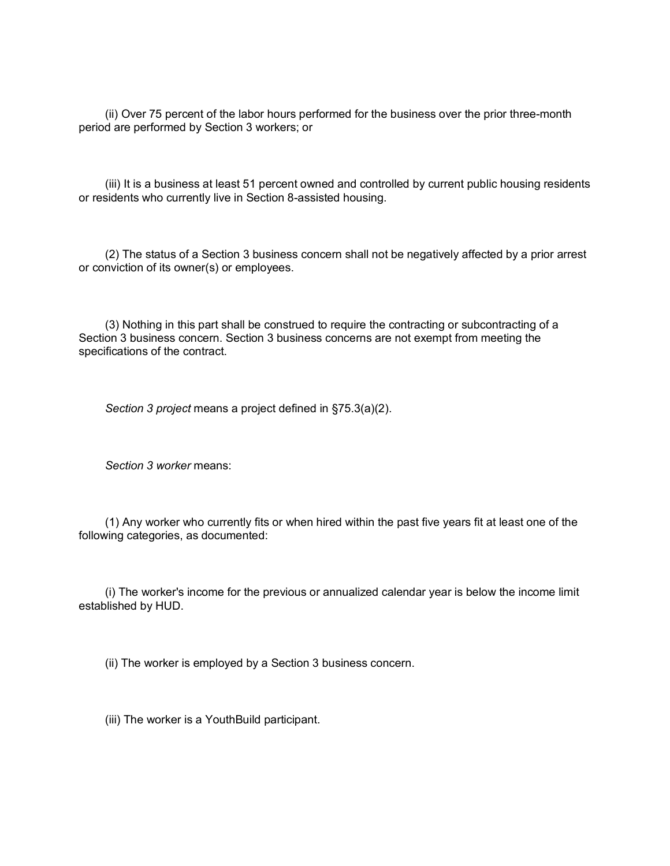(ii) Over 75 percent of the labor hours performed for the business over the prior three-month period are performed by Section 3 workers; or

(iii) It is a business at least 51 percent owned and controlled by current public housing residents or residents who currently live in Section 8-assisted housing.

(2) The status of a Section 3 business concern shall not be negatively affected by a prior arrest or conviction of its owner(s) or employees.

(3) Nothing in this part shall be construed to require the contracting or subcontracting of a Section 3 business concern. Section 3 business concerns are not exempt from meeting the specifications of the contract.

*Section 3 project* means a project defined in §75.3(a)(2).

*Section 3 worker* means:

(1) Any worker who currently fits or when hired within the past five years fit at least one of the following categories, as documented:

(i) The worker's income for the previous or annualized calendar year is below the income limit established by HUD.

(ii) The worker is employed by a Section 3 business concern.

(iii) The worker is a YouthBuild participant.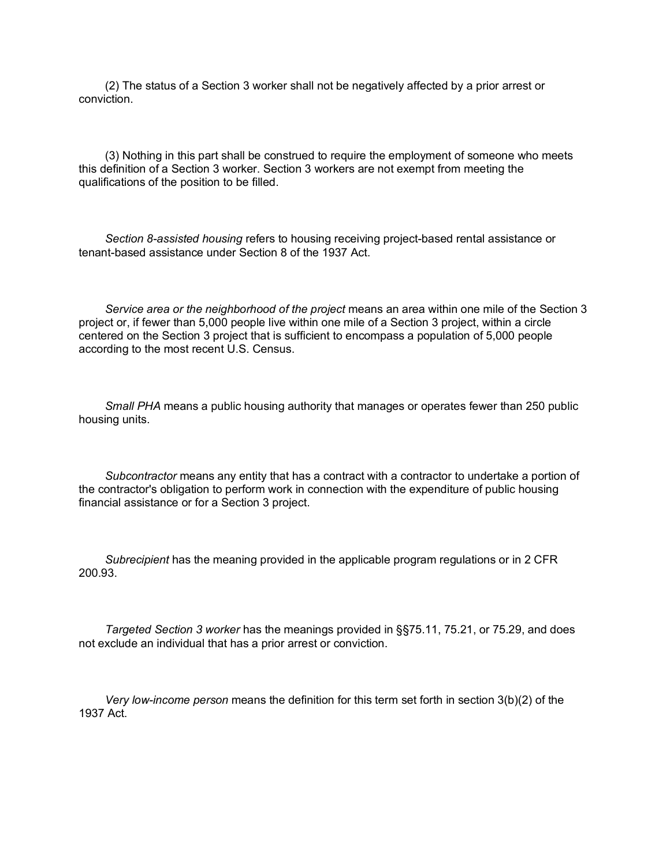(2) The status of a Section 3 worker shall not be negatively affected by a prior arrest or conviction.

(3) Nothing in this part shall be construed to require the employment of someone who meets this definition of a Section 3 worker. Section 3 workers are not exempt from meeting the qualifications of the position to be filled.

*Section 8-assisted housing* refers to housing receiving project-based rental assistance or tenant-based assistance under Section 8 of the 1937 Act.

*Service area or the neighborhood of the project* means an area within one mile of the Section 3 project or, if fewer than 5,000 people live within one mile of a Section 3 project, within a circle centered on the Section 3 project that is sufficient to encompass a population of 5,000 people according to the most recent U.S. Census.

*Small PHA* means a public housing authority that manages or operates fewer than 250 public housing units.

*Subcontractor* means any entity that has a contract with a contractor to undertake a portion of the contractor's obligation to perform work in connection with the expenditure of public housing financial assistance or for a Section 3 project.

*Subrecipient* has the meaning provided in the applicable program regulations or in 2 CFR 200.93.

*Targeted Section 3 worker* has the meanings provided in §§75.11, 75.21, or 75.29, and does not exclude an individual that has a prior arrest or conviction.

*Very low-income person* means the definition for this term set forth in section 3(b)(2) of the 1937 Act.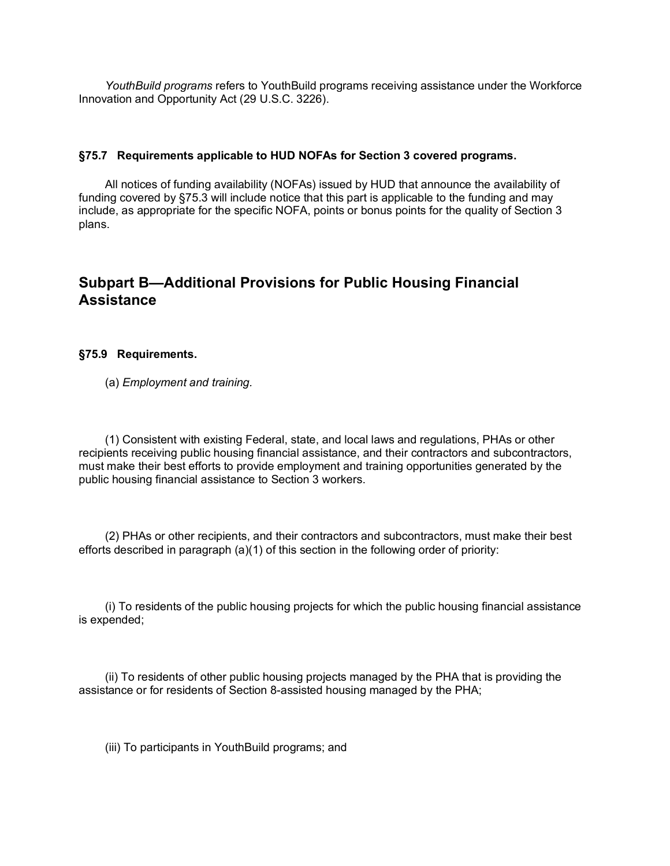*YouthBuild programs* refers to YouthBuild programs receiving assistance under the Workforce Innovation and Opportunity Act (29 U.S.C. 3226).

#### **§75.7 Requirements applicable to HUD NOFAs for Section 3 covered programs.**

All notices of funding availability (NOFAs) issued by HUD that announce the availability of funding covered by §75.3 will include notice that this part is applicable to the funding and may include, as appropriate for the specific NOFA, points or bonus points for the quality of Section 3 plans.

## **Subpart B—Additional Provisions for Public Housing Financial Assistance**

#### **§75.9 Requirements.**

(a) *Employment and training.*

(1) Consistent with existing Federal, state, and local laws and regulations, PHAs or other recipients receiving public housing financial assistance, and their contractors and subcontractors, must make their best efforts to provide employment and training opportunities generated by the public housing financial assistance to Section 3 workers.

(2) PHAs or other recipients, and their contractors and subcontractors, must make their best efforts described in paragraph (a)(1) of this section in the following order of priority:

(i) To residents of the public housing projects for which the public housing financial assistance is expended;

(ii) To residents of other public housing projects managed by the PHA that is providing the assistance or for residents of Section 8-assisted housing managed by the PHA;

(iii) To participants in YouthBuild programs; and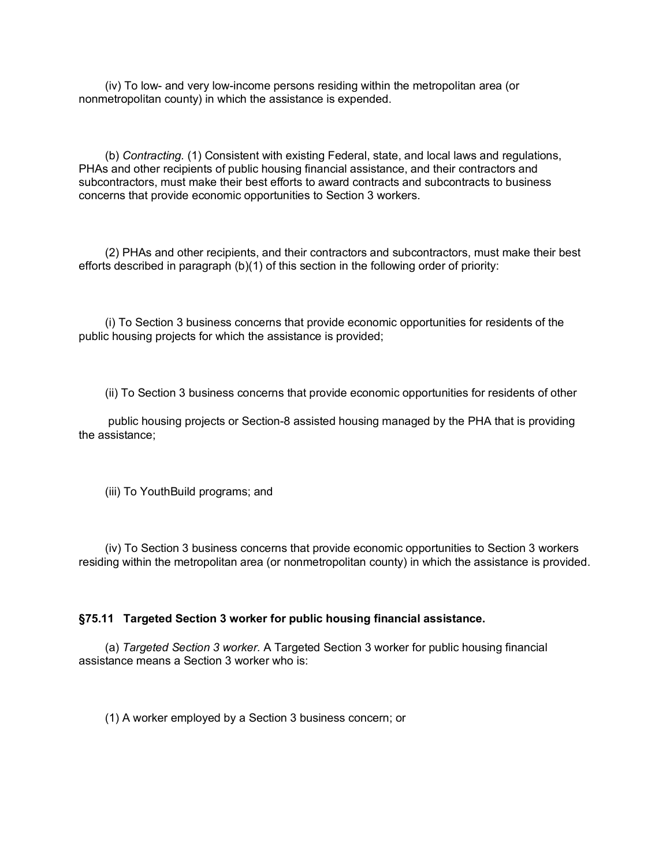(iv) To low- and very low-income persons residing within the metropolitan area (or nonmetropolitan county) in which the assistance is expended.

(b) *Contracting.* (1) Consistent with existing Federal, state, and local laws and regulations, PHAs and other recipients of public housing financial assistance, and their contractors and subcontractors, must make their best efforts to award contracts and subcontracts to business concerns that provide economic opportunities to Section 3 workers.

(2) PHAs and other recipients, and their contractors and subcontractors, must make their best efforts described in paragraph (b)(1) of this section in the following order of priority:

(i) To Section 3 business concerns that provide economic opportunities for residents of the public housing projects for which the assistance is provided;

(ii) To Section 3 business concerns that provide economic opportunities for residents of other

public housing projects or Section-8 assisted housing managed by the PHA that is providing the assistance;

(iii) To YouthBuild programs; and

(iv) To Section 3 business concerns that provide economic opportunities to Section 3 workers residing within the metropolitan area (or nonmetropolitan county) in which the assistance is provided.

#### **§75.11 Targeted Section 3 worker for public housing financial assistance.**

(a) *Targeted Section 3 worker.* A Targeted Section 3 worker for public housing financial assistance means a Section 3 worker who is:

(1) A worker employed by a Section 3 business concern; or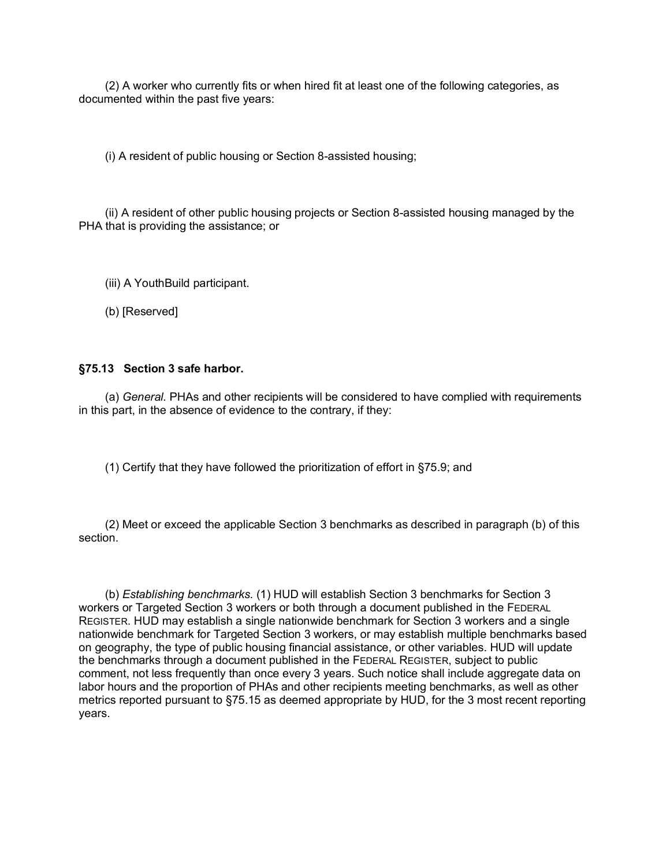(2) A worker who currently fits or when hired fit at least one of the following categories, as documented within the past five years:

(i) A resident of public housing or Section 8-assisted housing;

(ii) A resident of other public housing projects or Section 8-assisted housing managed by the PHA that is providing the assistance; or

(iii) A YouthBuild participant.

(b) [Reserved]

#### **§75.13 Section 3 safe harbor.**

(a) *General.* PHAs and other recipients will be considered to have complied with requirements in this part, in the absence of evidence to the contrary, if they:

(1) Certify that they have followed the prioritization of effort in §75.9; and

(2) Meet or exceed the applicable Section 3 benchmarks as described in paragraph (b) of this section.

(b) *Establishing benchmarks.* (1) HUD will establish Section 3 benchmarks for Section 3 workers or Targeted Section 3 workers or both through a document published in the FEDERAL REGISTER. HUD may establish a single nationwide benchmark for Section 3 workers and a single nationwide benchmark for Targeted Section 3 workers, or may establish multiple benchmarks based on geography, the type of public housing financial assistance, or other variables. HUD will update the benchmarks through a document published in the FEDERAL REGISTER, subject to public comment, not less frequently than once every 3 years. Such notice shall include aggregate data on labor hours and the proportion of PHAs and other recipients meeting benchmarks, as well as other metrics reported pursuant to §75.15 as deemed appropriate by HUD, for the 3 most recent reporting years.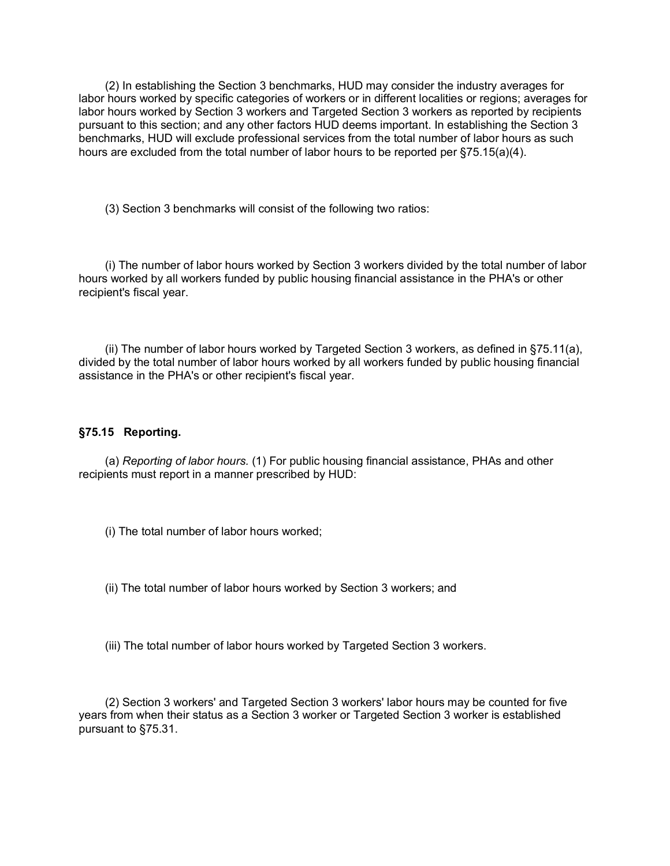(2) In establishing the Section 3 benchmarks, HUD may consider the industry averages for labor hours worked by specific categories of workers or in different localities or regions; averages for labor hours worked by Section 3 workers and Targeted Section 3 workers as reported by recipients pursuant to this section; and any other factors HUD deems important. In establishing the Section 3 benchmarks, HUD will exclude professional services from the total number of labor hours as such hours are excluded from the total number of labor hours to be reported per §75.15(a)(4).

(3) Section 3 benchmarks will consist of the following two ratios:

(i) The number of labor hours worked by Section 3 workers divided by the total number of labor hours worked by all workers funded by public housing financial assistance in the PHA's or other recipient's fiscal year.

(ii) The number of labor hours worked by Targeted Section 3 workers, as defined in §75.11(a), divided by the total number of labor hours worked by all workers funded by public housing financial assistance in the PHA's or other recipient's fiscal year.

#### **§75.15 Reporting.**

(a) *Reporting of labor hours.* (1) For public housing financial assistance, PHAs and other recipients must report in a manner prescribed by HUD:

(i) The total number of labor hours worked;

(ii) The total number of labor hours worked by Section 3 workers; and

(iii) The total number of labor hours worked by Targeted Section 3 workers.

(2) Section 3 workers' and Targeted Section 3 workers' labor hours may be counted for five years from when their status as a Section 3 worker or Targeted Section 3 worker is established pursuant to §75.31.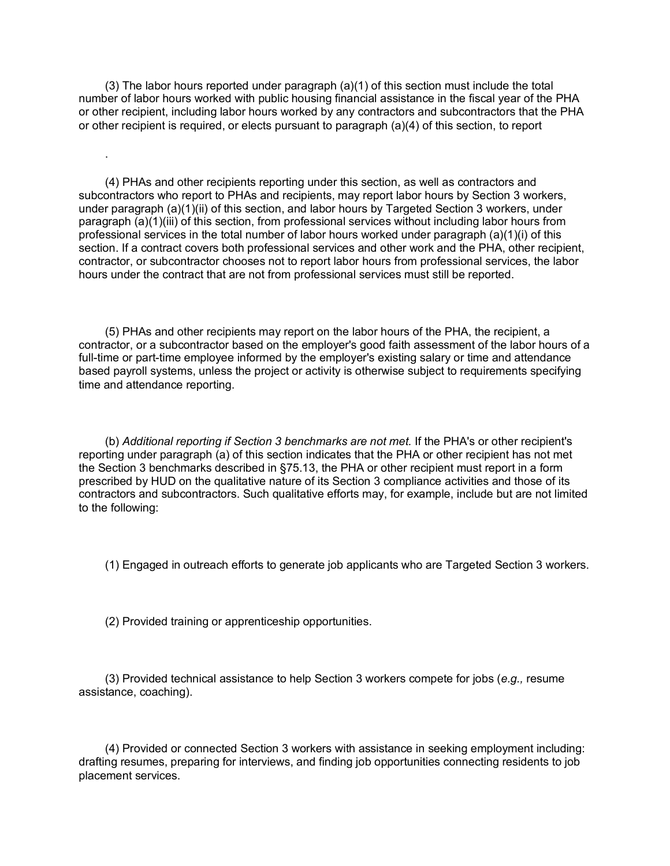(3) The labor hours reported under paragraph (a)(1) of this section must include the total number of labor hours worked with public housing financial assistance in the fiscal year of the PHA or other recipient, including labor hours worked by any contractors and subcontractors that the PHA or other recipient is required, or elects pursuant to paragraph (a)(4) of this section, to report

(4) PHAs and other recipients reporting under this section, as well as contractors and subcontractors who report to PHAs and recipients, may report labor hours by Section 3 workers, under paragraph (a)(1)(ii) of this section, and labor hours by Targeted Section 3 workers, under paragraph (a)(1)(iii) of this section, from professional services without including labor hours from professional services in the total number of labor hours worked under paragraph (a)(1)(i) of this section. If a contract covers both professional services and other work and the PHA, other recipient, contractor, or subcontractor chooses not to report labor hours from professional services, the labor hours under the contract that are not from professional services must still be reported.

(5) PHAs and other recipients may report on the labor hours of the PHA, the recipient, a contractor, or a subcontractor based on the employer's good faith assessment of the labor hours of a full-time or part-time employee informed by the employer's existing salary or time and attendance based payroll systems, unless the project or activity is otherwise subject to requirements specifying time and attendance reporting.

(b) *Additional reporting if Section 3 benchmarks are not met.* If the PHA's or other recipient's reporting under paragraph (a) of this section indicates that the PHA or other recipient has not met the Section 3 benchmarks described in §75.13, the PHA or other recipient must report in a form prescribed by HUD on the qualitative nature of its Section 3 compliance activities and those of its contractors and subcontractors. Such qualitative efforts may, for example, include but are not limited to the following:

(1) Engaged in outreach efforts to generate job applicants who are Targeted Section 3 workers.

(2) Provided training or apprenticeship opportunities.

.

(3) Provided technical assistance to help Section 3 workers compete for jobs (*e.g.,* resume assistance, coaching).

(4) Provided or connected Section 3 workers with assistance in seeking employment including: drafting resumes, preparing for interviews, and finding job opportunities connecting residents to job placement services.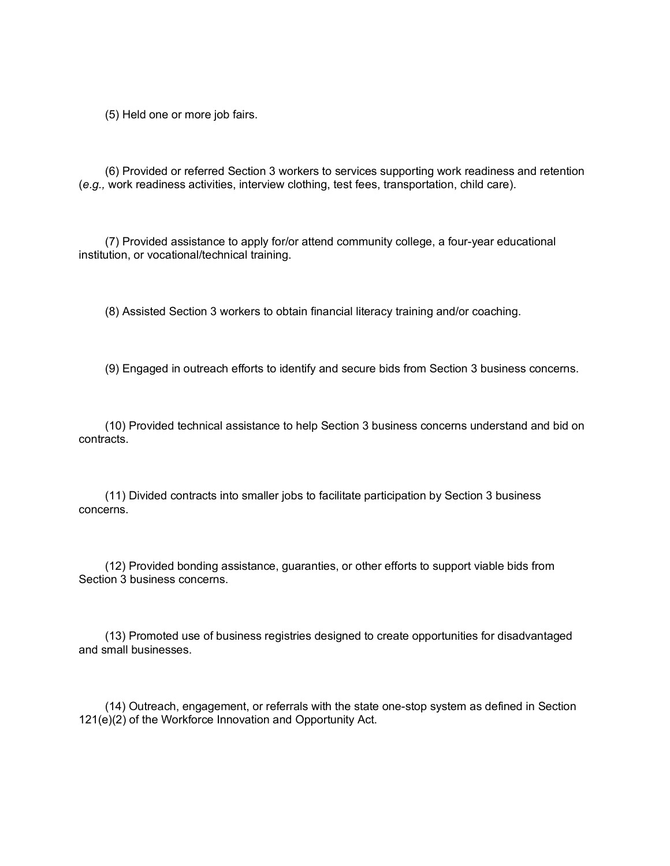(5) Held one or more job fairs.

(6) Provided or referred Section 3 workers to services supporting work readiness and retention (*e.g.,* work readiness activities, interview clothing, test fees, transportation, child care).

(7) Provided assistance to apply for/or attend community college, a four-year educational institution, or vocational/technical training.

(8) Assisted Section 3 workers to obtain financial literacy training and/or coaching.

(9) Engaged in outreach efforts to identify and secure bids from Section 3 business concerns.

(10) Provided technical assistance to help Section 3 business concerns understand and bid on contracts.

(11) Divided contracts into smaller jobs to facilitate participation by Section 3 business concerns.

(12) Provided bonding assistance, guaranties, or other efforts to support viable bids from Section 3 business concerns.

(13) Promoted use of business registries designed to create opportunities for disadvantaged and small businesses.

(14) Outreach, engagement, or referrals with the state one-stop system as defined in Section 121(e)(2) of the Workforce Innovation and Opportunity Act.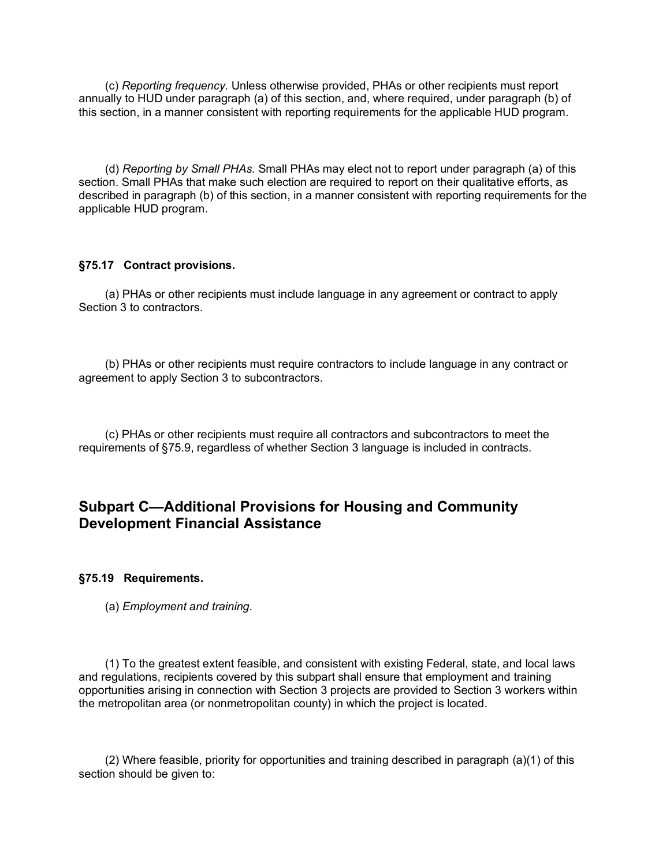(c) *Reporting frequency.* Unless otherwise provided, PHAs or other recipients must report annually to HUD under paragraph (a) of this section, and, where required, under paragraph (b) of this section, in a manner consistent with reporting requirements for the applicable HUD program.

(d) *Reporting by Small PHAs.* Small PHAs may elect not to report under paragraph (a) of this section. Small PHAs that make such election are required to report on their qualitative efforts, as described in paragraph (b) of this section, in a manner consistent with reporting requirements for the applicable HUD program.

#### **§75.17 Contract provisions.**

(a) PHAs or other recipients must include language in any agreement or contract to apply Section 3 to contractors.

(b) PHAs or other recipients must require contractors to include language in any contract or agreement to apply Section 3 to subcontractors.

(c) PHAs or other recipients must require all contractors and subcontractors to meet the requirements of §75.9, regardless of whether Section 3 language is included in contracts.

# **Subpart C—Additional Provisions for Housing and Community Development Financial Assistance**

**§75.19 Requirements.**

(a) *Employment and training.*

(1) To the greatest extent feasible, and consistent with existing Federal, state, and local laws and regulations, recipients covered by this subpart shall ensure that employment and training opportunities arising in connection with Section 3 projects are provided to Section 3 workers within the metropolitan area (or nonmetropolitan county) in which the project is located.

(2) Where feasible, priority for opportunities and training described in paragraph (a)(1) of this section should be given to: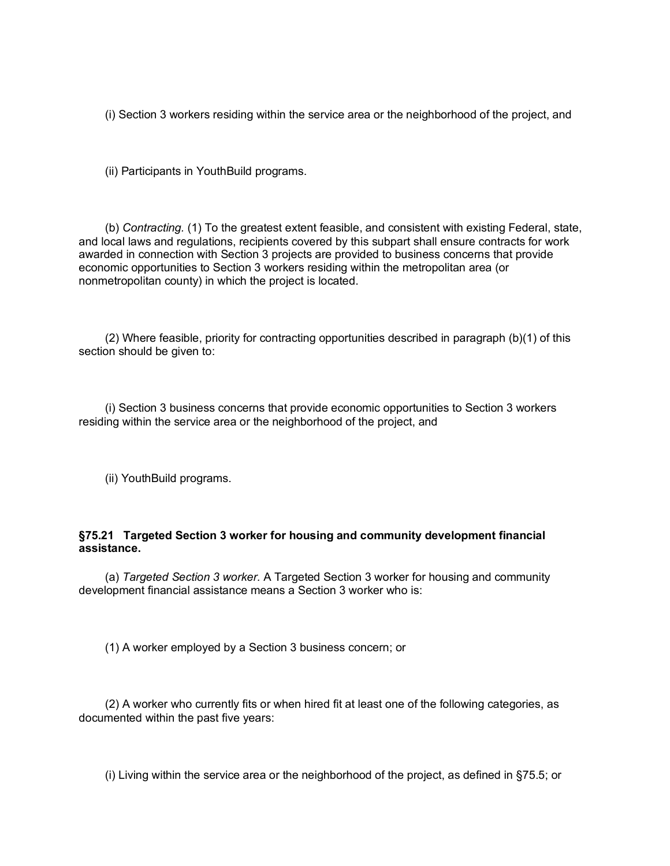(i) Section 3 workers residing within the service area or the neighborhood of the project, and

(ii) Participants in YouthBuild programs.

(b) *Contracting.* (1) To the greatest extent feasible, and consistent with existing Federal, state, and local laws and regulations, recipients covered by this subpart shall ensure contracts for work awarded in connection with Section 3 projects are provided to business concerns that provide economic opportunities to Section 3 workers residing within the metropolitan area (or nonmetropolitan county) in which the project is located.

(2) Where feasible, priority for contracting opportunities described in paragraph (b)(1) of this section should be given to:

(i) Section 3 business concerns that provide economic opportunities to Section 3 workers residing within the service area or the neighborhood of the project, and

(ii) YouthBuild programs.

### **§75.21 Targeted Section 3 worker for housing and community development financial assistance.**

(a) *Targeted Section 3 worker.* A Targeted Section 3 worker for housing and community development financial assistance means a Section 3 worker who is:

(1) A worker employed by a Section 3 business concern; or

(2) A worker who currently fits or when hired fit at least one of the following categories, as documented within the past five years:

(i) Living within the service area or the neighborhood of the project, as defined in §75.5; or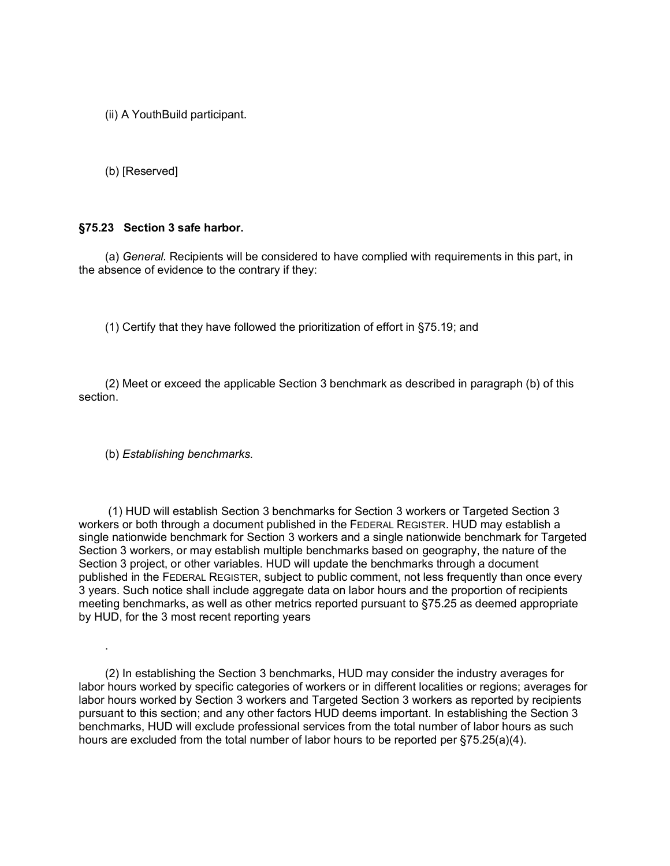(ii) A YouthBuild participant.

(b) [Reserved]

#### **§75.23 Section 3 safe harbor.**

(a) *General.* Recipients will be considered to have complied with requirements in this part, in the absence of evidence to the contrary if they:

(1) Certify that they have followed the prioritization of effort in §75.19; and

(2) Meet or exceed the applicable Section 3 benchmark as described in paragraph (b) of this section.

(b) *Establishing benchmarks.*

.

(1) HUD will establish Section 3 benchmarks for Section 3 workers or Targeted Section 3 workers or both through a document published in the FEDERAL REGISTER. HUD may establish a single nationwide benchmark for Section 3 workers and a single nationwide benchmark for Targeted Section 3 workers, or may establish multiple benchmarks based on geography, the nature of the Section 3 project, or other variables. HUD will update the benchmarks through a document published in the FEDERAL REGISTER, subject to public comment, not less frequently than once every 3 years. Such notice shall include aggregate data on labor hours and the proportion of recipients meeting benchmarks, as well as other metrics reported pursuant to §75.25 as deemed appropriate by HUD, for the 3 most recent reporting years

(2) In establishing the Section 3 benchmarks, HUD may consider the industry averages for labor hours worked by specific categories of workers or in different localities or regions; averages for labor hours worked by Section 3 workers and Targeted Section 3 workers as reported by recipients pursuant to this section; and any other factors HUD deems important. In establishing the Section 3 benchmarks, HUD will exclude professional services from the total number of labor hours as such hours are excluded from the total number of labor hours to be reported per §75.25(a)(4).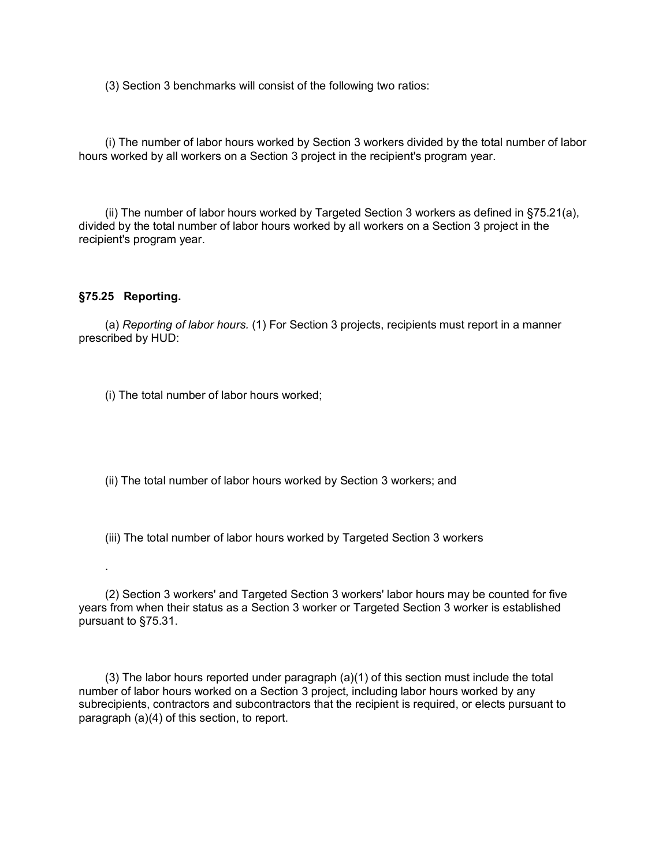(3) Section 3 benchmarks will consist of the following two ratios:

(i) The number of labor hours worked by Section 3 workers divided by the total number of labor hours worked by all workers on a Section 3 project in the recipient's program year.

(ii) The number of labor hours worked by Targeted Section 3 workers as defined in §75.21(a), divided by the total number of labor hours worked by all workers on a Section 3 project in the recipient's program year.

#### **§75.25 Reporting.**

.

(a) *Reporting of labor hours.* (1) For Section 3 projects, recipients must report in a manner prescribed by HUD:

(i) The total number of labor hours worked;

(ii) The total number of labor hours worked by Section 3 workers; and

(iii) The total number of labor hours worked by Targeted Section 3 workers

(2) Section 3 workers' and Targeted Section 3 workers' labor hours may be counted for five years from when their status as a Section 3 worker or Targeted Section 3 worker is established pursuant to §75.31.

(3) The labor hours reported under paragraph (a)(1) of this section must include the total number of labor hours worked on a Section 3 project, including labor hours worked by any subrecipients, contractors and subcontractors that the recipient is required, or elects pursuant to paragraph (a)(4) of this section, to report.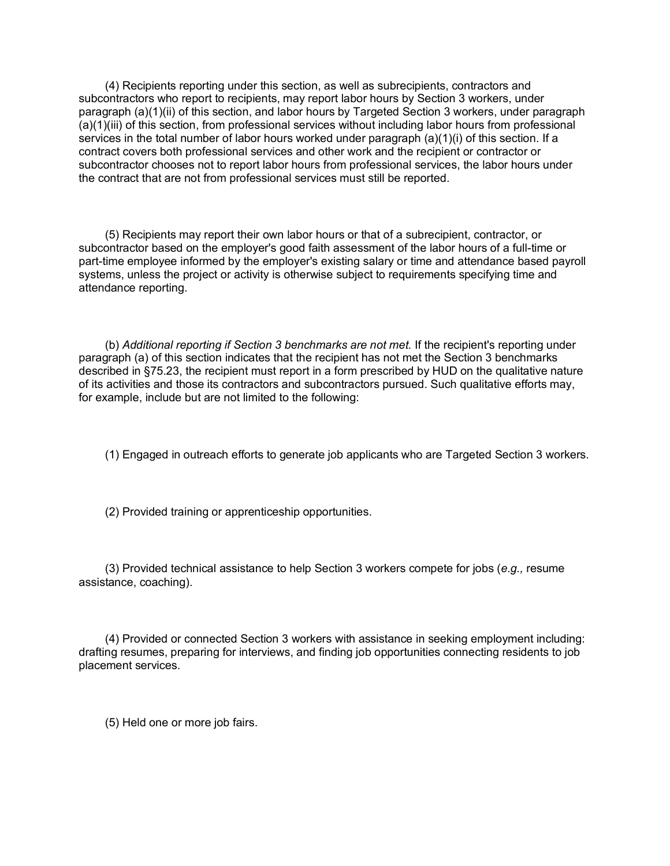(4) Recipients reporting under this section, as well as subrecipients, contractors and subcontractors who report to recipients, may report labor hours by Section 3 workers, under paragraph (a)(1)(ii) of this section, and labor hours by Targeted Section 3 workers, under paragraph (a)(1)(iii) of this section, from professional services without including labor hours from professional services in the total number of labor hours worked under paragraph (a)(1)(i) of this section. If a contract covers both professional services and other work and the recipient or contractor or subcontractor chooses not to report labor hours from professional services, the labor hours under the contract that are not from professional services must still be reported.

(5) Recipients may report their own labor hours or that of a subrecipient, contractor, or subcontractor based on the employer's good faith assessment of the labor hours of a full-time or part-time employee informed by the employer's existing salary or time and attendance based payroll systems, unless the project or activity is otherwise subject to requirements specifying time and attendance reporting.

(b) *Additional reporting if Section 3 benchmarks are not met.* If the recipient's reporting under paragraph (a) of this section indicates that the recipient has not met the Section 3 benchmarks described in §75.23, the recipient must report in a form prescribed by HUD on the qualitative nature of its activities and those its contractors and subcontractors pursued. Such qualitative efforts may, for example, include but are not limited to the following:

(1) Engaged in outreach efforts to generate job applicants who are Targeted Section 3 workers.

(2) Provided training or apprenticeship opportunities.

(3) Provided technical assistance to help Section 3 workers compete for jobs (*e.g.,* resume assistance, coaching).

(4) Provided or connected Section 3 workers with assistance in seeking employment including: drafting resumes, preparing for interviews, and finding job opportunities connecting residents to job placement services.

(5) Held one or more job fairs.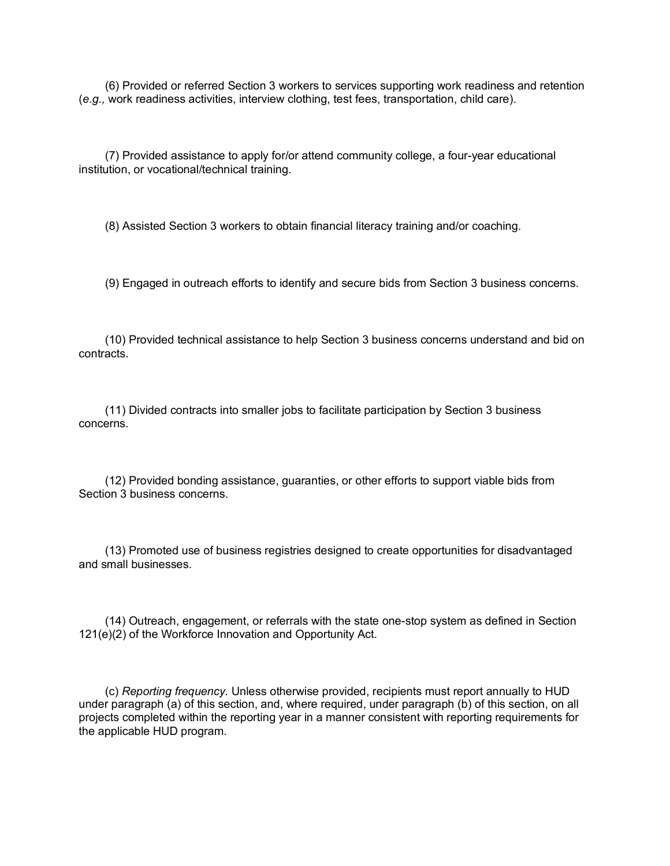(6) Provided or referred Section 3 workers to services supporting work readiness and retention (*e.g.,* work readiness activities, interview clothing, test fees, transportation, child care).

(7) Provided assistance to apply for/or attend community college, a four-year educational institution, or vocational/technical training.

(8) Assisted Section 3 workers to obtain financial literacy training and/or coaching.

(9) Engaged in outreach efforts to identify and secure bids from Section 3 business concerns.

(10) Provided technical assistance to help Section 3 business concerns understand and bid on contracts.

(11) Divided contracts into smaller jobs to facilitate participation by Section 3 business concerns.

(12) Provided bonding assistance, guaranties, or other efforts to support viable bids from Section 3 business concerns.

(13) Promoted use of business registries designed to create opportunities for disadvantaged and small businesses.

(14) Outreach, engagement, or referrals with the state one-stop system as defined in Section 121(e)(2) of the Workforce Innovation and Opportunity Act.

(c) *Reporting frequency.* Unless otherwise provided, recipients must report annually to HUD under paragraph (a) of this section, and, where required, under paragraph (b) of this section, on all projects completed within the reporting year in a manner consistent with reporting requirements for the applicable HUD program.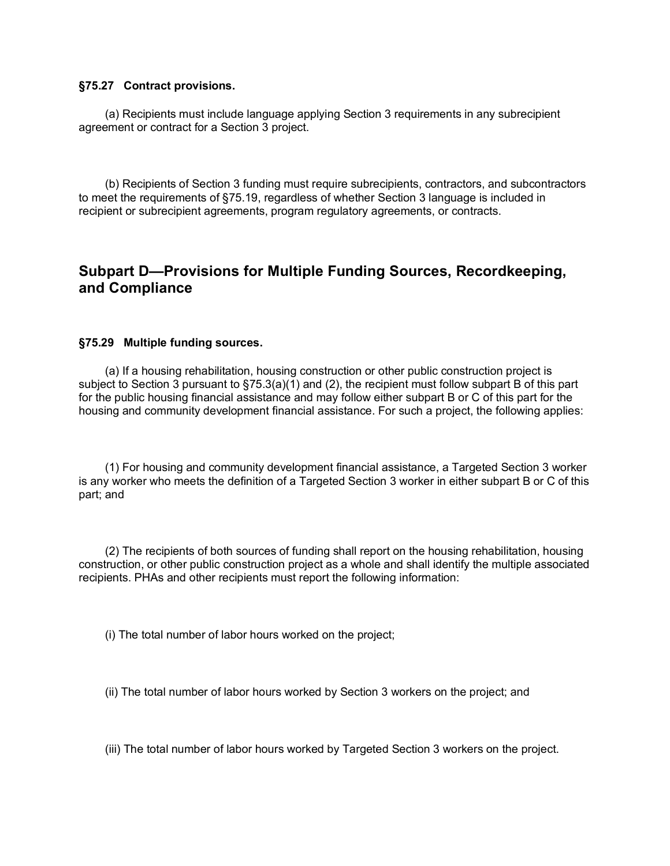#### **§75.27 Contract provisions.**

(a) Recipients must include language applying Section 3 requirements in any subrecipient agreement or contract for a Section 3 project.

(b) Recipients of Section 3 funding must require subrecipients, contractors, and subcontractors to meet the requirements of §75.19, regardless of whether Section 3 language is included in recipient or subrecipient agreements, program regulatory agreements, or contracts.

## **Subpart D—Provisions for Multiple Funding Sources, Recordkeeping, and Compliance**

#### **§75.29 Multiple funding sources.**

(a) If a housing rehabilitation, housing construction or other public construction project is subject to Section 3 pursuant to §75.3(a)(1) and (2), the recipient must follow subpart B of this part for the public housing financial assistance and may follow either subpart B or C of this part for the housing and community development financial assistance. For such a project, the following applies:

(1) For housing and community development financial assistance, a Targeted Section 3 worker is any worker who meets the definition of a Targeted Section 3 worker in either subpart B or C of this part; and

(2) The recipients of both sources of funding shall report on the housing rehabilitation, housing construction, or other public construction project as a whole and shall identify the multiple associated recipients. PHAs and other recipients must report the following information:

(i) The total number of labor hours worked on the project;

(ii) The total number of labor hours worked by Section 3 workers on the project; and

(iii) The total number of labor hours worked by Targeted Section 3 workers on the project.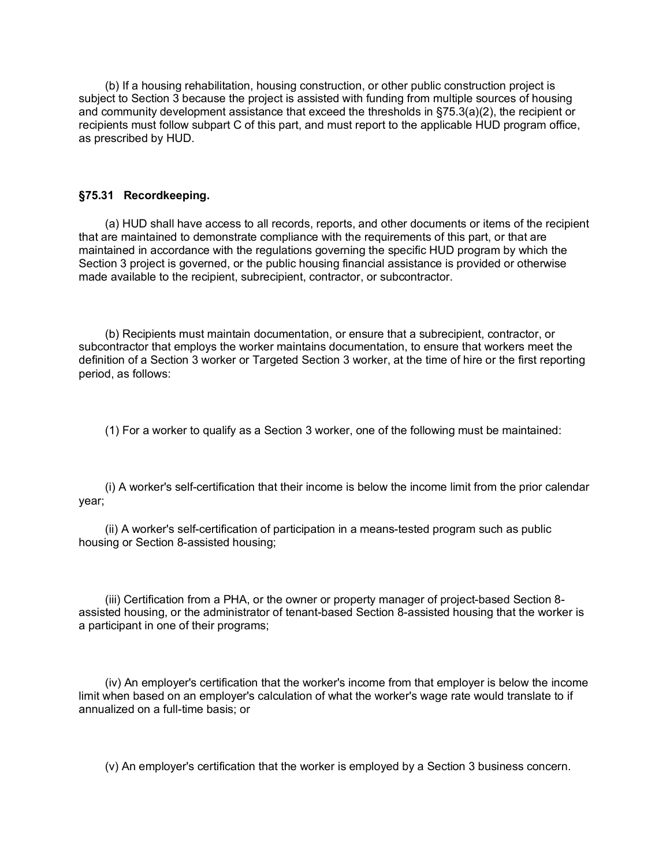(b) If a housing rehabilitation, housing construction, or other public construction project is subject to Section 3 because the project is assisted with funding from multiple sources of housing and community development assistance that exceed the thresholds in §75.3(a)(2), the recipient or recipients must follow subpart C of this part, and must report to the applicable HUD program office, as prescribed by HUD.

#### **§75.31 Recordkeeping.**

(a) HUD shall have access to all records, reports, and other documents or items of the recipient that are maintained to demonstrate compliance with the requirements of this part, or that are maintained in accordance with the regulations governing the specific HUD program by which the Section 3 project is governed, or the public housing financial assistance is provided or otherwise made available to the recipient, subrecipient, contractor, or subcontractor.

(b) Recipients must maintain documentation, or ensure that a subrecipient, contractor, or subcontractor that employs the worker maintains documentation, to ensure that workers meet the definition of a Section 3 worker or Targeted Section 3 worker, at the time of hire or the first reporting period, as follows:

(1) For a worker to qualify as a Section 3 worker, one of the following must be maintained:

(i) A worker's self-certification that their income is below the income limit from the prior calendar year;

(ii) A worker's self-certification of participation in a means-tested program such as public housing or Section 8-assisted housing;

(iii) Certification from a PHA, or the owner or property manager of project-based Section 8 assisted housing, or the administrator of tenant-based Section 8-assisted housing that the worker is a participant in one of their programs;

(iv) An employer's certification that the worker's income from that employer is below the income limit when based on an employer's calculation of what the worker's wage rate would translate to if annualized on a full-time basis; or

(v) An employer's certification that the worker is employed by a Section 3 business concern.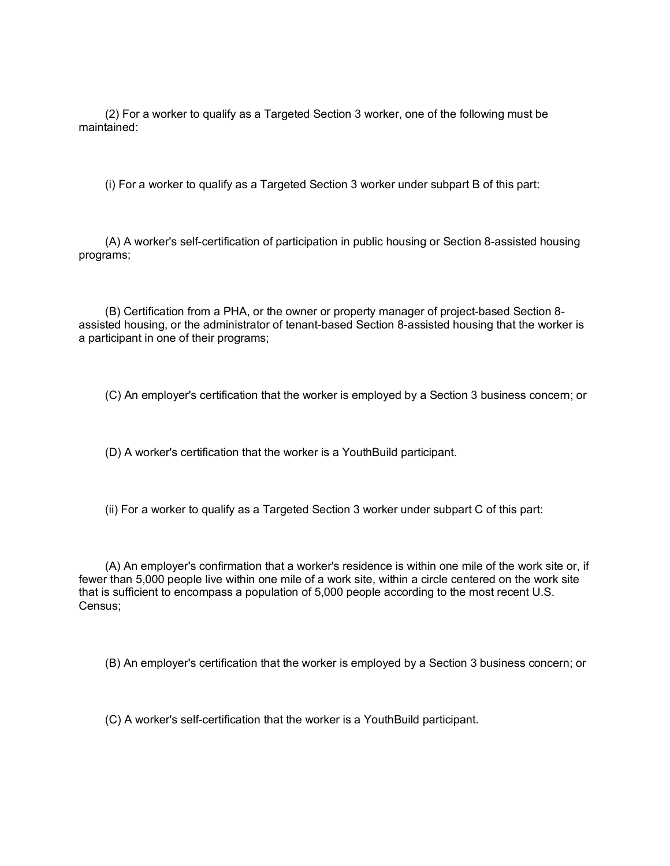(2) For a worker to qualify as a Targeted Section 3 worker, one of the following must be maintained:

(i) For a worker to qualify as a Targeted Section 3 worker under subpart B of this part:

(A) A worker's self-certification of participation in public housing or Section 8-assisted housing programs;

(B) Certification from a PHA, or the owner or property manager of project-based Section 8 assisted housing, or the administrator of tenant-based Section 8-assisted housing that the worker is a participant in one of their programs;

(C) An employer's certification that the worker is employed by a Section 3 business concern; or

(D) A worker's certification that the worker is a YouthBuild participant.

(ii) For a worker to qualify as a Targeted Section 3 worker under subpart C of this part:

(A) An employer's confirmation that a worker's residence is within one mile of the work site or, if fewer than 5,000 people live within one mile of a work site, within a circle centered on the work site that is sufficient to encompass a population of 5,000 people according to the most recent U.S. Census;

(B) An employer's certification that the worker is employed by a Section 3 business concern; or

(C) A worker's self-certification that the worker is a YouthBuild participant.